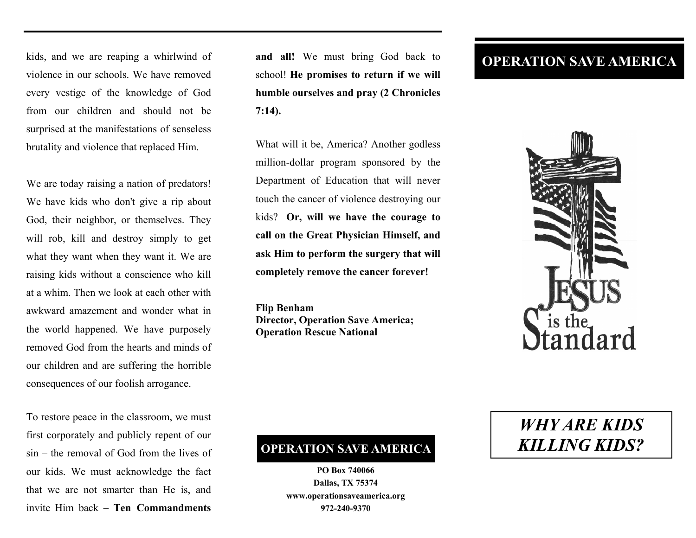kids, and we are reaping a whirlwind of violence in our schools. We have removed every vestige of the knowledge of God from our children and should not be surprised at the manifestations of senseless brutality and violence that replaced Him.

We are today raising a nation of predators! We have kids who don't give a rip about God, their neighbor, or themselves. They will rob, kill and destroy simply to get what they want when they want it. We are raising kids without a conscience who kill at a whim. Then we look at each other with awkward amazement and wonder what in the world happened. We have purposely removed God from the hearts and minds of our children and are suffering the horrible consequences of our foolish arrogance.

To restore peace in the classroom, we must first corporately and publicly repent of our sin – the removal of God from the lives of our kids. We must acknowledge the fact that we are not smarter than He is, and invite Him back – **Ten Commandments** 

**and all!** We must bring God back to school! **He promises to return if we will humble ourselves and pray (2 Chronicles 7:14).** 

What will it be, America? Another godless million-dollar program sponsored by the Department of Education that will never touch the cancer of violence destroying our kids? **Or, will we have the courage to call on the Great Physician Himself, and ask Him to perform the surgery that will completely remove the cancer forever!** 

**Flip Benham Director, Operation Save America; Operation Rescue National** 

## **OPERATION SAVE AMERICA**



## **OPERATION SAVE AMERICA**

**PO Box 740066 Dallas, TX 75374 www.operationsaveamerica.org 972-240-9370** 

## *WHY ARE KIDS KILLING KIDS?*